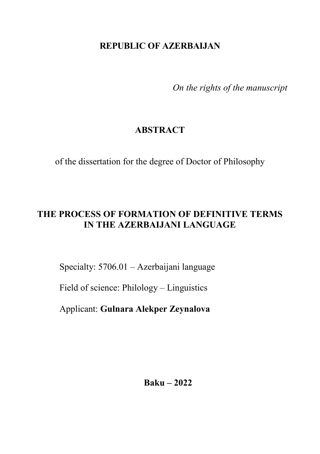## **REPUBLIC OF AZERBAIJAN**

*On the rights of the manuscript*

# **ABSTRACT**

of the dissertation for the degree of Doctor of Philosophy

# **THE PROCESS OF FORMATION OF DEFINITIVE TERMS IN THE AZERBAIJANI LANGUAGE**

Specialty: 5706.01 – Azerbaijani language

Field of science: Philology – Linguistics

Applicant: **Gulnara Alekper Zeynalova**

**Baku – 2022**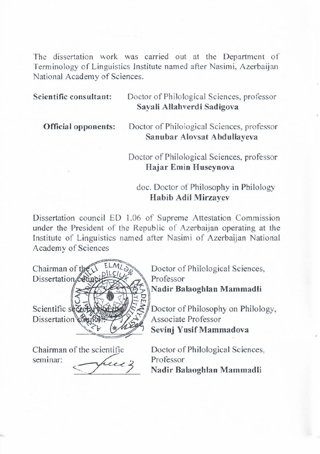The dissertation work was carried out at the Department of Terminology of Linguistics Institute named after Nasimi, Azerbaijan National Academy of Sciences.

**Sayali Allahverdi Sadigova**

**Official opponents:** Doctor of Philological Sciences, professor **CO** OF HOOGRAP SCIENCES, PROTEST

> Doctor of Philological Sciences, professor  **Hajar Emin Huseynova**

doc. Doctor of Philosophy in Philology **Habib Adil Mirzayev**

Dissertation council ED 1.06 of Supreme Attestation Commission under the President of the Republic of Azerbaijan operating at the Institute of Linguistics named after Nasimi of Azerbaijan National Academy of Sciences



Chairman of the scientific seminar:  $\overline{\phantom{a}}$  Doctor of Philological Sciences, Professor **Nadir Balaoghlan Mammadli**

Doctor of Philosophy on Philology, Associate Professor **Sevinj Yusif Mammadova**

Doctor of Philological Sciences, Professor **Nadir Balaoghlan Mammadli**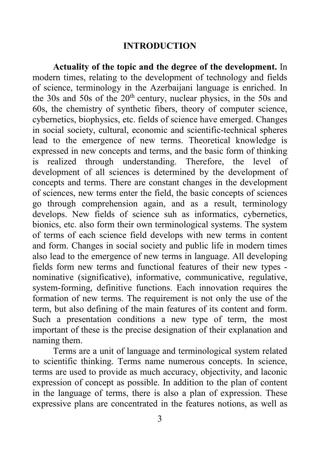#### **INTRODUCTION**

 **Actuality of the topic and the degree of the development.** In modern times, relating to the development of technology and fields of science, terminology in the Azerbaijani language is enriched. In the  $30s$  and  $50s$  of the  $20<sup>th</sup>$  century, nuclear physics, in the  $50s$  and 60s, the chemistry of synthetic fibers, theory of computer science, cybernetics, biophysics, etc. fields of science have emerged. Changes in social society, cultural, economic and scientific-technical spheres lead to the emergence of new terms. Theoretical knowledge is expressed in new concepts and terms, and the basic form of thinking is realized through understanding. Therefore, the level of development of all sciences is determined by the development of concepts and terms. There are constant changes in the development of sciences, new terms enter the field, the basic concepts of sciences go through comprehension again, and as a result, terminology develops. New fields of science suh as informatics, cybernetics, bionics, etc. also form their own terminological systems. The system of terms of each science field develops with new terms in content and form. Changes in social society and public life in modern times also lead to the emergence of new terms in language. All developing fields form new terms and functional features of their new types nominative (significative), informative, communicative, regulative, system-forming, definitive functions. Each innovation requires the formation of new terms. The requirement is not only the use of the term, but also defining of the main features of its content and form. Such a presentation conditions a new type of term, the most important of these is the precise designation of their explanation and naming them.

Terms are a unit of language and terminological system related to scientific thinking. Terms name numerous concepts. In science, terms are used to provide as much accuracy, objectivity, and laconic expression of concept as possible. In addition to the plan of content in the language of terms, there is also a plan of expression. These expressive plans are concentrated in the features notions, as well as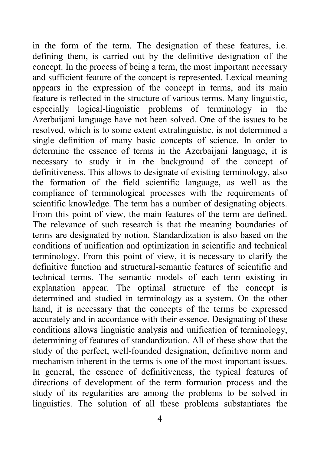in the form of the term. The designation of these features, i.e. defining them, is carried out by the definitive designation of the concept. In the process of being a term, the most important necessary and sufficient feature of the concept is represented. Lexical meaning appears in the expression of the concept in terms, and its main feature is reflected in the structure of various terms. Many linguistic, especially logical-linguistic problems of terminology in the Azerbaijani language have not been solved. One of the issues to be resolved, which is to some extent extralinguistic, is not determined a single definition of many basic concepts of science. In order to determine the essence of terms in the Azerbaijani language, it is necessary to study it in the background of the concept of definitiveness. This allows to designate of existing terminology, also the formation of the field scientific language, as well as the compliance of terminological processes with the requirements of scientific knowledge. The term has a number of designating objects. From this point of view, the main features of the term are defined. The relevance of such research is that the meaning boundaries of terms are designated by notion. Standardization is also based on the conditions of unification and optimization in scientific and technical terminology. From this point of view, it is necessary to clarify the definitive function and structural-semantic features of scientific and technical terms. The semantic models of each term existing in explanation appear. The optimal structure of the concept is determined and studied in terminology as a system. On the other hand, it is necessary that the concepts of the terms be expressed accurately and in accordance with their essence. Designating of these conditions allows linguistic analysis and unification of terminology, determining of features of standardization. All of these show that the study of the perfect, well-founded designation, definitive norm and mechanism inherent in the terms is one of the most important issues. In general, the essence of definitiveness, the typical features of directions of development of the term formation process and the study of its regularities are among the problems to be solved in linguistics. The solution of all these problems substantiates the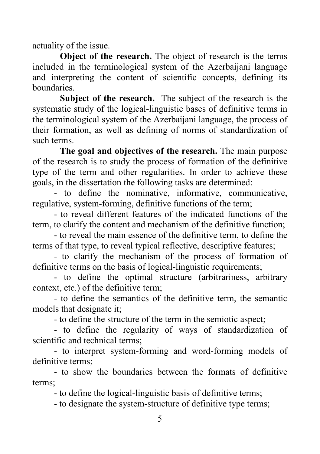actuality of the issue.

**Object of the research.** The object of research is the terms included in the terminological system of the Azerbaijani language and interpreting the content of scientific concepts, defining its boundaries.

**Subject of the research.** The subject of the research is the systematic study of the logical-linguistic bases of definitive terms in the terminological system of the Azerbaijani language, the process of their formation, as well as defining of norms of standardization of such terms.

**The goal and objectives of the research.** The main purpose of the research is to study the process of formation of the definitive type of the term and other regularities. In order to achieve these goals, in the dissertation the following tasks are determined:

- to define the nominative, informative, communicative, regulative, system-forming, definitive functions of the term;

- to reveal different features of the indicated functions of the term, to clarify the content and mechanism of the definitive function;

- to reveal the main essence of the definitive term, to define the terms of that type, to reveal typical reflective, descriptive features;

- to clarify the mechanism of the process of formation of definitive terms on the basis of logical-linguistic requirements;

- to define the optimal structure (arbitrariness, arbitrary context, etc.) of the definitive term;

- to define the semantics of the definitive term, the semantic models that designate it;

- to define the structure of the term in the semiotic aspect;

- to define the regularity of ways of standardization of scientific and technical terms;

- to interpret system-forming and word-forming models of definitive terms;

- to show the boundaries between the formats of definitive terms;

- to define the logical-linguistic basis of definitive terms;

- to designate the system-structure of definitive type terms;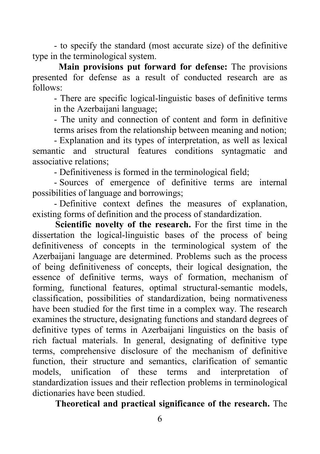- to specify the standard (most accurate size) of the definitive type in the terminological system.

 **Main provisions put forward for defense:** The provisions presented for defense as a result of conducted research are as follows:

- There are specific logical-linguistic bases of definitive terms in the Azerbaijani language;

- The unity and connection of content and form in definitive terms arises from the relationship between meaning and notion;

- Explanation and its types of interpretation, as well as lexical semantic and structural features conditions syntagmatic and associative relations;

- Definitiveness is formed in the terminological field;

- Sources of emergence of definitive terms are internal possibilities of language and borrowings;

- Definitive context defines the measures of explanation, existing forms of definition and the process of standardization.

**Scientific novelty of the research.** For the first time in the dissertation the logical-linguistic bases of the process of being definitiveness of concepts in the terminological system of the Azerbaijani language are determined. Problems such as the process of being definitiveness of concepts, their logical designation, the essence of definitive terms, ways of formation, mechanism of forming, functional features, optimal structural-semantic models, classification, possibilities of standardization, being normativeness have been studied for the first time in a complex way. The research examines the structure, designating functions and standard degrees of definitive types of terms in Azerbaijani linguistics on the basis of rich factual materials. In general, designating of definitive type terms, comprehensive disclosure of the mechanism of definitive function, their structure and semantics, clarification of semantic models, unification of these terms and interpretation of standardization issues and their reflection problems in terminological dictionaries have been studied.

**Theoretical and practical significance of the research.** The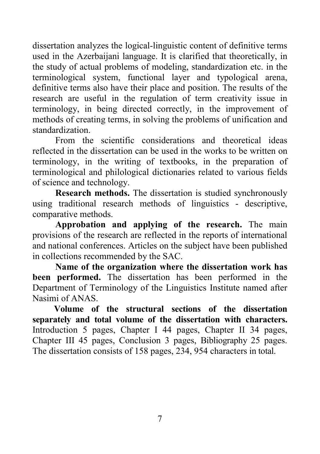dissertation analyzes the logical-linguistic content of definitive terms used in the Azerbaijani language. It is clarified that theoretically, in the study of actual problems of modeling, standardization etc. in the terminological system, functional layer and typological arena, definitive terms also have their place and position. The results of the research are useful in the regulation of term creativity issue in terminology, in being directed correctly, in the improvement of methods of creating terms, in solving the problems of unification and standardization.

From the scientific considerations and theoretical ideas reflected in the dissertation can be used in the works to be written on terminology, in the writing of textbooks, in the preparation of terminological and philological dictionaries related to various fields of science and technology.

**Research methods.** The dissertation is studied synchronously using traditional research methods of linguistics - descriptive, comparative methods.

**Approbation and applying of the research.** The main provisions of the research are reflected in the reports of international and national conferences. Articles on the subject have been published in collections recommended by the SAC.

**Name of the organization where the dissertation work has been performed.** The dissertation has been performed in the Department of Terminology of the Linguistics Institute named after Nasimi of ANAS.

**Volume of the structural sections of the dissertation separately and total volume of the dissertation with characters.**  Introduction 5 pages, Chapter I 44 pages, Chapter II 34 pages, Chapter III 45 pages, Conclusion 3 pages, Bibliography 25 pages. The dissertation consists of 158 pages, 234, 954 characters in total.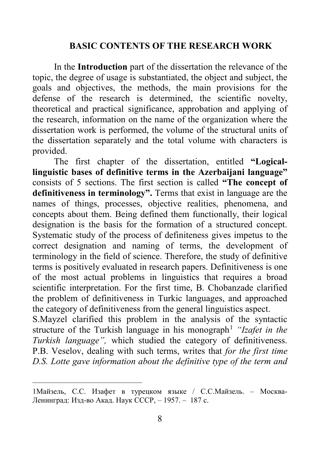### **BASIC CONTENTS OF THE RESEARCH WORK**

In the **Introduction** part of the dissertation the relevance of the topic, the degree of usage is substantiated, the object and subject, the goals and objectives, the methods, the main provisions for the defense of the research is determined, the scientific novelty, theoretical and practical significance, approbation and applying of the research, information on the name of the organization where the dissertation work is performed, the volume of the structural units of the dissertation separately and the total volume with characters is provided.

The first chapter of the dissertation, entitled **"Logicallinguistic bases of definitive terms in the Azerbaijani language"**  consists of 5 sections. The first section is called **"The concept of definitiveness in terminology".** Terms that exist in language are the names of things, processes, objective realities, phenomena, and concepts about them. Being defined them functionally, their logical designation is the basis for the formation of a structured concept. Systematic study of the process of definiteness gives impetus to the correct designation and naming of terms, the development of terminology in the field of science. Therefore, the study of definitive terms is positively evaluated in research papers. Definitiveness is one of the most actual problems in linguistics that requires a broad scientific interpretation. For the first time, B. Chobanzade clarified the problem of definitiveness in Turkic languages, and approached the category of definitiveness from the general linguistics aspect.

S.Mayzel clarified this problem in the analysis of the syntactic structure of the Turkish language in his monograph<sup>[1](#page-7-0)</sup> *"Izafet in the Turkish language",* which studied the category of definitiveness. P.B. Veselov, dealing with such terms, writes that *for the first time D.S. Lotte gave information about the definitive type of the term and* 

<span id="page-7-0"></span> <sup>1</sup>Майзель, С.С. Изафет в турецком языке / С.С.Майзель. – Москва-Ленинград: Изд-во Акад. Наук СССР, – 1957. – 187 с.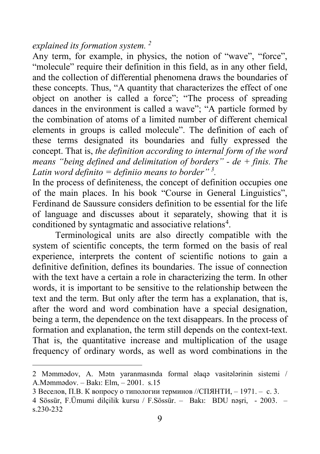*explained its formation system. [2](#page-8-0)*

Any term, for example, in physics, the notion of "wave", "force", "molecule" require their definition in this field, as in any other field, and the collection of differential phenomena draws the boundaries of these concepts. Thus, "A quantity that characterizes the effect of one object on another is called a force"; "The process of spreading dances in the environment is called a wave"; "A particle formed by the combination of atoms of a limited number of different chemical elements in groups is called molecule". The definition of each of these terms designated its boundaries and fully expressed the concept. That is, *the definition according to internal form of the word means "being defined and delimitation of borders" - de + finis. The Latin word definito = definiio means to border" [3](#page-8-1) .*

In the process of definiteness, the concept of definition occupies one of the main places. In his book "Course in General Linguistics", Ferdinand de Saussure considers definition to be essential for the life of language and discusses about it separately, showing that it is conditioned by syntagmatic and associative relations<sup>[4](#page-8-2)</sup>.

Terminological units are also directly compatible with the system of scientific concepts, the term formed on the basis of real experience, interprets the content of scientific notions to gain a definitive definition, defines its boundaries. The issue of connection with the text have a certain a role in characterizing the term. In other words, it is important to be sensitive to the relationship between the text and the term. But only after the term has a explanation, that is, after the word and word combination have a special designation, being a term, the dependence on the text disappears. In the process of formation and explanation, the term still depends on the context-text. That is, the quantitative increase and multiplication of the usage frequency of ordinary words, as well as word combinations in the

<span id="page-8-0"></span> <sup>2</sup> <sup>M</sup>əmmədov, A. Mətn yaranmasında formal əlaq<sup>ə</sup> vasitələrinin sistemi / A.Məmmədov. – Bakı: Elm, – 2001. s.15

<span id="page-8-1"></span><sup>3</sup> Веселов, П.В. К вопросу о типологии терминов //СПЯНТИ, – 1971. – с. 3.

<span id="page-8-2"></span><sup>4</sup> Sössür, F.Ümumi dilçilik kursu / F.Sössür. – Bakı: BDU nəşri, - 2003. – s.230-232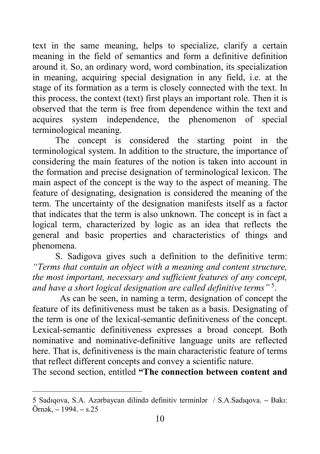text in the same meaning, helps to specialize, clarify a certain meaning in the field of semantics and form a definitive definition around it. So, an ordinary word, word combination, its specialization in meaning, acquiring special designation in any field, i.e. at the stage of its formation as a term is closely connected with the text. In this process, the context (text) first plays an important role. Then it is observed that the term is free from dependence within the text and acquires system independence, the phenomenon of special terminological meaning.

The concept is considered the starting point in the terminological system. In addition to the structure, the importance of considering the main features of the notion is taken into account in the formation and precise designation of terminological lexicon. The main aspect of the concept is the way to the aspect of meaning. The feature of designating, designation is considered the meaning of the term. The uncertainty of the designation manifests itself as a factor that indicates that the term is also unknown. The concept is in fact a logical term, characterized by logic as an idea that reflects the general and basic properties and characteristics of things and phenomena.

S. Sadigova gives such a definition to the definitive term: *"Terms that contain an object with a meaning and content structure, the most important, necessary and sufficient features of any concept, and have a short logical designation are called definitive terms"* [5](#page-9-0) .

As can be seen, in naming a term, designation of concept the feature of its definitiveness must be taken as a basis. Designating of the term is one of the lexical-semantic definitiveness of the concept. Lexical-semantic definitiveness expresses a broad concept. Both nominative and nominative-definitive language units are reflected here. That is, definitiveness is the main characteristic feature of terms that reflect different concepts and convey a scientific nature.

The second section, entitled **"The connection between content and** 

<span id="page-9-0"></span><sup>5</sup> Sadıqova, S.A. Azərbaycan dilində definitiv terminlər / S.A.Sadıqova. **–** Bakı: Örnək, **–** 1994. **–** s.25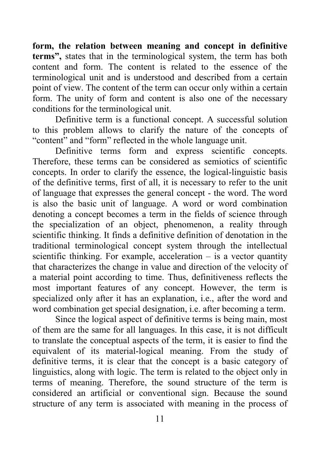**form, the relation between meaning and concept in definitive terms",** states that in the terminological system, the term has both content and form. The content is related to the essence of the terminological unit and is understood and described from a certain point of view. The content of the term can occur only within a certain form. The unity of form and content is also one of the necessary conditions for the terminological unit.

Definitive term is a functional concept. A successful solution to this problem allows to clarify the nature of the concepts of "content" and "form" reflected in the whole language unit.

Definitive terms form and express scientific concepts. Therefore, these terms can be considered as semiotics of scientific concepts. In order to clarify the essence, the logical-linguistic basis of the definitive terms, first of all, it is necessary to refer to the unit of language that expresses the general concept - the word. The word is also the basic unit of language. A word or word combination denoting a concept becomes a term in the fields of science through the specialization of an object, phenomenon, a reality through scientific thinking. It finds a definitive definition of denotation in the traditional terminological concept system through the intellectual scientific thinking. For example, acceleration  $-$  is a vector quantity that characterizes the change in value and direction of the velocity of a material point according to time. Thus, definitiveness reflects the most important features of any concept. However, the term is specialized only after it has an explanation, i.e., after the word and word combination get special designation, i.e. after becoming a term.

Since the logical aspect of definitive terms is being main, most of them are the same for all languages. In this case, it is not difficult to translate the conceptual aspects of the term, it is easier to find the equivalent of its material-logical meaning. From the study of definitive terms, it is clear that the concept is a basic category of linguistics, along with logic. The term is related to the object only in terms of meaning. Therefore, the sound structure of the term is considered an artificial or conventional sign. Because the sound structure of any term is associated with meaning in the process of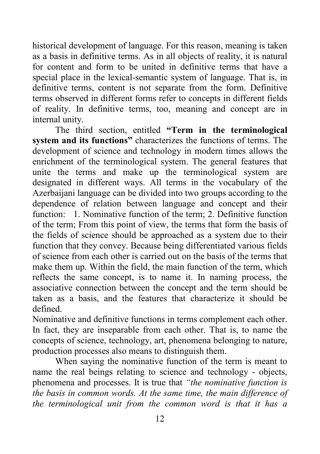historical development of language. For this reason, meaning is taken as a basis in definitive terms. As in all objects of reality, it is natural for content and form to be united in definitive terms that have a special place in the lexical-semantic system of language. That is, in definitive terms, content is not separate from the form. Definitive terms observed in different forms refer to concepts in different fields of reality. In definitive terms, too, meaning and concept are in internal unity.

The third section, entitled **"Term in the terminological system and its functions"** characterizes the functions of terms. The development of science and technology in modern times allows the enrichment of the terminological system. The general features that unite the terms and make up the terminological system are designated in different ways. All terms in the vocabulary of the Azerbaijani language can be divided into two groups according to the dependence of relation between language and concept and their function: 1. Nominative function of the term; 2. Definitive function of the term; From this point of view, the terms that form the basis of the fields of science should be approached as a system due to their function that they convey. Because being differentiated various fields of science from each other is carried out on the basis of the terms that make them up. Within the field, the main function of the term, which reflects the same concept, is to name it. In naming process, the associative connection between the concept and the term should be taken as a basis, and the features that characterize it should be defined.

Nominative and definitive functions in terms complement each other. In fact, they are inseparable from each other. That is, to name the concepts of science, technology, art, phenomena belonging to nature, production processes also means to distinguish them.

When saying the nominative function of the term is meant to name the real beings relating to science and technology - objects, phenomena and processes. It is true that *"the nominative function is the basis in common words. At the same time, the main difference of the terminological unit from the common word is that it has a*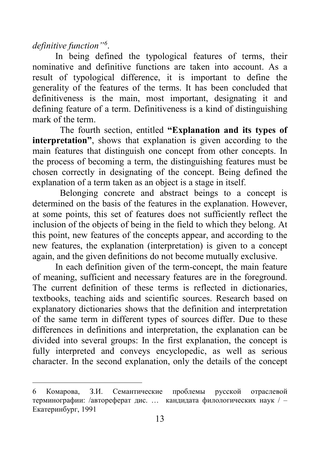*definitive function"[6](#page-12-0)* .

In being defined the typological features of terms, their nominative and definitive functions are taken into account. As a result of typological difference, it is important to define the generality of the features of the terms. It has been concluded that definitiveness is the main, most important, designating it and defining feature of a term. Definitiveness is a kind of distinguishing mark of the term.

The fourth section, entitled **"Explanation and its types of interpretation"**, shows that explanation is given according to the main features that distinguish one concept from other concepts. In the process of becoming a term, the distinguishing features must be chosen correctly in designating of the concept. Being defined the explanation of a term taken as an object is a stage in itself.

Belonging concrete and abstract beings to a concept is determined on the basis of the features in the explanation. However, at some points, this set of features does not sufficiently reflect the inclusion of the objects of being in the field to which they belong. At this point, new features of the concepts appear, and according to the new features, the explanation (interpretation) is given to a concept again, and the given definitions do not become mutually exclusive.

In each definition given of the term-concept, the main feature of meaning, sufficient and necessary features are in the foreground. The current definition of these terms is reflected in dictionaries, textbooks, teaching aids and scientific sources. Research based on explanatory dictionaries shows that the definition and interpretation of the same term in different types of sources differ. Due to these differences in definitions and interpretation, the explanation can be divided into several groups: In the first explanation, the concept is fully interpreted and conveys encyclopedic, as well as serious character. In the second explanation, only the details of the concept

<span id="page-12-0"></span> <sup>6</sup> Комарова, З.И. Семантические проблемы русской отраслевой терминографии: /автореферат дис. … кандидата филологических наук / – Екатеринбург, 1991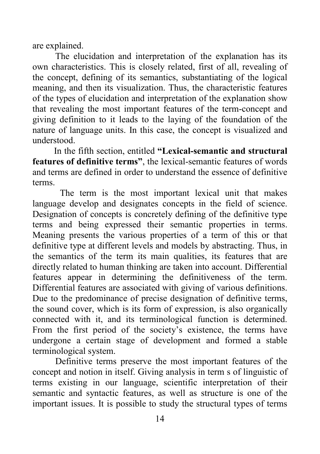are explained.

The elucidation and interpretation of the explanation has its own characteristics. This is closely related, first of all, revealing of the concept, defining of its semantics, substantiating of the logical meaning, and then its visualization. Thus, the characteristic features of the types of elucidation and interpretation of the explanation show that revealing the most important features of the term-concept and giving definition to it leads to the laying of the foundation of the nature of language units. In this case, the concept is visualized and understood.

In the fifth section, entitled **"Lexical-semantic and structural features of definitive terms"**, the lexical-semantic features of words and terms are defined in order to understand the essence of definitive terms.

The term is the most important lexical unit that makes language develop and designates concepts in the field of science. Designation of concepts is concretely defining of the definitive type terms and being expressed their semantic properties in terms. Meaning presents the various properties of a term of this or that definitive type at different levels and models by abstracting. Thus, in the semantics of the term its main qualities, its features that are directly related to human thinking are taken into account. Differential features appear in determining the definitiveness of the term. Differential features are associated with giving of various definitions. Due to the predominance of precise designation of definitive terms, the sound cover, which is its form of expression, is also organically connected with it, and its terminological function is determined. From the first period of the society's existence, the terms have undergone a certain stage of development and formed a stable terminological system.

Definitive terms preserve the most important features of the concept and notion in itself. Giving analysis in term s of linguistic of terms existing in our language, scientific interpretation of their semantic and syntactic features, as well as structure is one of the important issues. It is possible to study the structural types of terms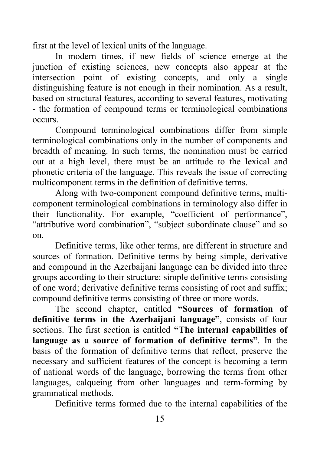first at the level of lexical units of the language.

In modern times, if new fields of science emerge at the junction of existing sciences, new concepts also appear at the intersection point of existing concepts, and only a single distinguishing feature is not enough in their nomination. As a result, based on structural features, according to several features, motivating - the formation of compound terms or terminological combinations occurs.

Compound terminological combinations differ from simple terminological combinations only in the number of components and breadth of meaning. In such terms, the nomination must be carried out at a high level, there must be an attitude to the lexical and phonetic criteria of the language. This reveals the issue of correcting multicomponent terms in the definition of definitive terms.

Along with two-component compound definitive terms, multicomponent terminological combinations in terminology also differ in their functionality. For example, "coefficient of performance", "attributive word combination", "subject subordinate clause" and so on.

Definitive terms, like other terms, are different in structure and sources of formation. Definitive terms by being simple, derivative and compound in the Azerbaijani language can be divided into three groups according to their structure: simple definitive terms consisting of one word; derivative definitive terms consisting of root and suffix; compound definitive terms consisting of three or more words.

The second chapter, entitled **"Sources of formation of definitive terms in the Azerbaijani language"**, consists of four sections. The first section is entitled **"The internal capabilities of language as a source of formation of definitive terms"**. In the basis of the formation of definitive terms that reflect, preserve the necessary and sufficient features of the concept is becoming a term of national words of the language, borrowing the terms from other languages, calqueing from other languages and term-forming by grammatical methods.

Definitive terms formed due to the internal capabilities of the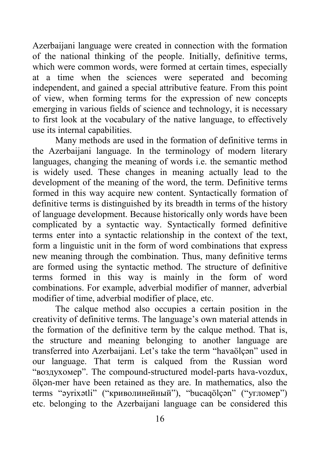Azerbaijani language were created in connection with the formation of the national thinking of the people. Initially, definitive terms, which were common words, were formed at certain times, especially at a time when the sciences were seperated and becoming independent, and gained a special attributive feature. From this point of view, when forming terms for the expression of new concepts emerging in various fields of science and technology, it is necessary to first look at the vocabulary of the native language, to effectively use its internal capabilities.

Many methods are used in the formation of definitive terms in the Azerbaijani language. In the terminology of modern literary languages, changing the meaning of words i.e. the semantic method is widely used. These changes in meaning actually lead to the development of the meaning of the word, the term. Definitive terms formed in this way acquire new content. Syntactically formation of definitive terms is distinguished by its breadth in terms of the history of language development. Because historically only words have been complicated by a syntactic way. Syntactically formed definitive terms enter into a syntactic relationship in the context of the text, form a linguistic unit in the form of word combinations that express new meaning through the combination. Thus, many definitive terms are formed using the syntactic method. The structure of definitive terms formed in this way is mainly in the form of word combinations. For example, adverbial modifier of manner, adverbial modifier of time, adverbial modifier of place, etc.

The calque method also occupies a certain position in the creativity of definitive terms. The language's own material attends in the formation of the definitive term by the calque method. That is, the structure and meaning belonging to another language are transferred into Azerbaijani. Let's take the term "havaölçən" used in our language. That term is calqued from the Russian word "воздухомер". The compound-structured model-parts hava-vozdux, ölçən-mer have been retained as they are. In mathematics, also the terms "əyrixətli" ("криволинейный"), "bucaqölçən" ("угломер") etc. belonging to the Azerbaijani language can be considered this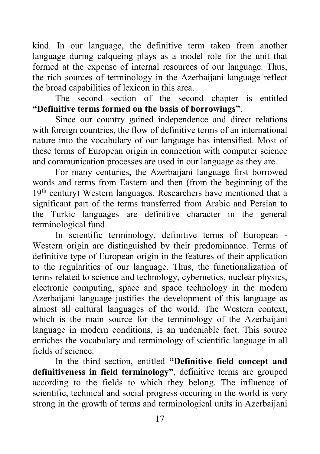kind. In our language, the definitive term taken from another language during calqueing plays as a model role for the unit that formed at the expense of internal resources of our language. Thus, the rich sources of terminology in the Azerbaijani language reflect the broad capabilities of lexicon in this area.

The second section of the second chapter is entitled **"Definitive terms formed on the basis of borrowings"**.

Since our country gained independence and direct relations with foreign countries, the flow of definitive terms of an international nature into the vocabulary of our language has intensified. Most of these terms of European origin in connection with computer science and communication processes are used in our language as they are.

For many centuries, the Azerbaijani language first borrowed words and terms from Eastern and then (from the beginning of the  $19<sup>th</sup>$  century) Western languages. Researchers have mentioned that a significant part of the terms transferred from Arabic and Persian to the Turkic languages are definitive character in the general terminological fund.

In scientific terminology, definitive terms of European - Western origin are distinguished by their predominance. Terms of definitive type of European origin in the features of their application to the regularities of our language. Thus, the functionalization of terms related to science and technology, cybernetics, nuclear physics, electronic computing, space and space technology in the modern Azerbaijani language justifies the development of this language as almost all cultural languages of the world. The Western context, which is the main source for the terminology of the Azerbaijani language in modern conditions, is an undeniable fact. This source enriches the vocabulary and terminology of scientific language in all fields of science.

In the third section, entitled **"Definitive field concept and definitiveness in field terminology"**, definitive terms are grouped according to the fields to which they belong. The influence of scientific, technical and social progress occuring in the world is very strong in the growth of terms and terminological units in Azerbaijani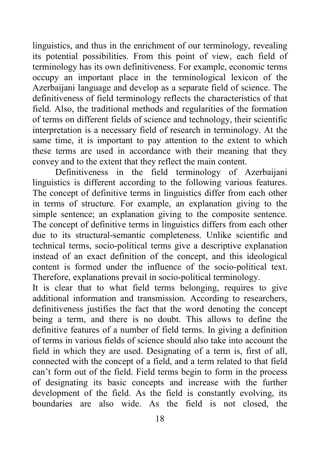linguistics, and thus in the enrichment of our terminology, revealing its potential possibilities. From this point of view, each field of terminology has its own definitiveness. For example, economic terms occupy an important place in the terminological lexicon of the Azerbaijani language and develop as a separate field of science. The definitiveness of field terminology reflects the characteristics of that field. Also, the traditional methods and regularities of the formation of terms on different fields of science and technology, their scientific interpretation is a necessary field of research in terminology. At the same time, it is important to pay attention to the extent to which these terms are used in accordance with their meaning that they convey and to the extent that they reflect the main content.

Definitiveness in the field terminology of Azerbaijani linguistics is different according to the following various features. The concept of definitive terms in linguistics differ from each other in terms of structure. For example, an explanation giving to the simple sentence; an explanation giving to the composite sentence. The concept of definitive terms in linguistics differs from each other due to its structural-semantic completeness. Unlike scientific and technical terms, socio-political terms give a descriptive explanation instead of an exact definition of the concept, and this ideological content is formed under the influence of the socio-political text. Therefore, explanations prevail in socio-political terminology.

It is clear that to what field terms belonging, requires to give additional information and transmission. According to researchers, definitiveness justifies the fact that the word denoting the concept being a term, and there is no doubt. This allows to define the definitive features of a number of field terms. In giving a definition of terms in various fields of science should also take into account the field in which they are used. Designating of a term is, first of all, connected with the concept of a field, and a term related to that field can't form out of the field. Field terms begin to form in the process of designating its basic concepts and increase with the further development of the field. As the field is constantly evolving, its boundaries are also wide. As the field is not closed, the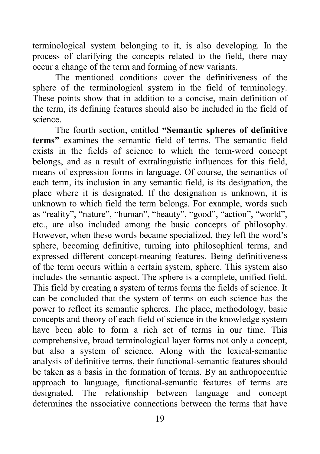terminological system belonging to it, is also developing. In the process of clarifying the concepts related to the field, there may occur a change of the term and forming of new variants.

The mentioned conditions cover the definitiveness of the sphere of the terminological system in the field of terminology. These points show that in addition to a concise, main definition of the term, its defining features should also be included in the field of science.

The fourth section, entitled **"Semantic spheres of definitive terms"** examines the semantic field of terms. The semantic field exists in the fields of science to which the term-word concept belongs, and as a result of extralinguistic influences for this field, means of expression forms in language. Of course, the semantics of each term, its inclusion in any semantic field, is its designation, the place where it is designated. If the designation is unknown, it is unknown to which field the term belongs. For example, words such as "reality", "nature", "human", "beauty", "good", "action", "world", etc., are also included among the basic concepts of philosophy. However, when these words became specialized, they left the word's sphere, becoming definitive, turning into philosophical terms, and expressed different concept-meaning features. Being definitiveness of the term occurs within a certain system, sphere. This system also includes the semantic aspect. The sphere is a complete, unified field. This field by creating a system of terms forms the fields of science. It can be concluded that the system of terms on each science has the power to reflect its semantic spheres. The place, methodology, basic concepts and theory of each field of science in the knowledge system have been able to form a rich set of terms in our time. This comprehensive, broad terminological layer forms not only a concept, but also a system of science. Along with the lexical-semantic analysis of definitive terms, their functional-semantic features should be taken as a basis in the formation of terms. By an anthropocentric approach to language, functional-semantic features of terms are designated. The relationship between language and concept determines the associative connections between the terms that have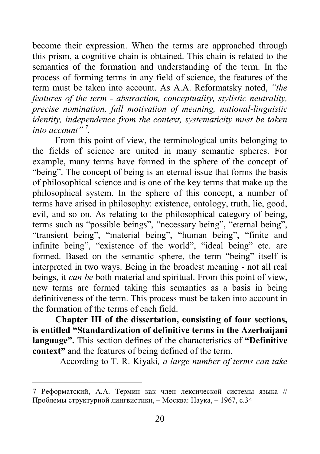become their expression. When the terms are approached through this prism, a cognitive chain is obtained. This chain is related to the semantics of the formation and understanding of the term. In the process of forming terms in any field of science, the features of the term must be taken into account. As A.A. Reformatsky noted, *"the features of the term - abstraction, conceptuality, stylistic neutrality, precise nomination, full motivation of meaning, national-linguistic identity, independence from the context, systematicity must be taken into account" [7](#page-19-0) .*

From this point of view, the terminological units belonging to the fields of science are united in many semantic spheres. For example, many terms have formed in the sphere of the concept of "being". The concept of being is an eternal issue that forms the basis of philosophical science and is one of the key terms that make up the philosophical system. In the sphere of this concept, a number of terms have arised in philosophy: existence, ontology, truth, lie, good, evil, and so on. As relating to the philosophical category of being, terms such as "possible beings", "necessary being", "eternal being", "transient being", "material being", "human being", "finite and infinite being", "existence of the world", "ideal being" etc. are formed. Based on the semantic sphere, the term "being" itself is interpreted in two ways. Being in the broadest meaning - not all real beings, it *can be* both material and spiritual. From this point of view, new terms are formed taking this semantics as a basis in being definitiveness of the term. This process must be taken into account in the formation of the terms of each field.

**Chapter III of the dissertation, consisting of four sections, is entitled "Standardization of definitive terms in the Azerbaijani language".** This section defines of the characteristics of **"Definitive context"** and the features of being defined of the term.

According to T. R. Kiyaki*, a large number of terms can take* 

<span id="page-19-0"></span> <sup>7</sup> Реформатский, А.А. Термин как член лексической системы языка // Проблемы структурной лингвистики, – Москва: Наука, – 1967, с.34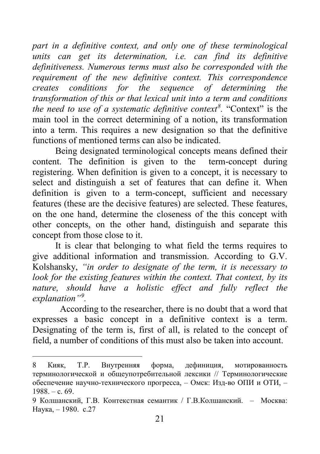*part in a definitive context, and only one of these terminological units can get its determination, i.e. can find its definitive definitiveness. Numerous terms must also be corresponded with the requirement of the new definitive context. This correspondence creates conditions for the sequence of determining the transformation of this or that lexical unit into a term and conditions the need to use of a systematic definitive context[8](#page-20-0) .* "Context" is the main tool in the correct determining of a notion, its transformation into a term. This requires a new designation so that the definitive functions of mentioned terms can also be indicated.

Being designated terminological concepts means defined their content. The definition is given to the term-concept during registering. When definition is given to a concept, it is necessary to select and distinguish a set of features that can define it. When definition is given to a term-concept, sufficient and necessary features (these are the decisive features) are selected. These features, on the one hand, determine the closeness of the this concept with other concepts, on the other hand, distinguish and separate this concept from those close to it.

It is clear that belonging to what field the terms requires to give additional information and transmission. According to G.V. Kolshansky, *"in order to designate of the term, it is necessary to look for the existing features within the context. That context, by its nature, should have a holistic effect and fully reflect the explanation"[9](#page-20-1) .*

According to the researcher, there is no doubt that a word that expresses a basic concept in a definitive context is a term. Designating of the term is, first of all, is related to the concept of field, a number of conditions of this must also be taken into account.

<span id="page-20-0"></span> <sup>8</sup> Кияк, Т.Р. Внутренняя форма, дефиниция, мотированность терминологической и общеупотребительной лексики // Терминологические обеспечение научно-технического прогресса, – Омск: Изд-во ОПИ и ОТИ, –  $1988 - c. 69.$ 

<span id="page-20-1"></span><sup>9</sup> Колшанский, Г.В. Контекстная семантик / Г.В.Колшанский. – Москва: Наука, – 1980. с.27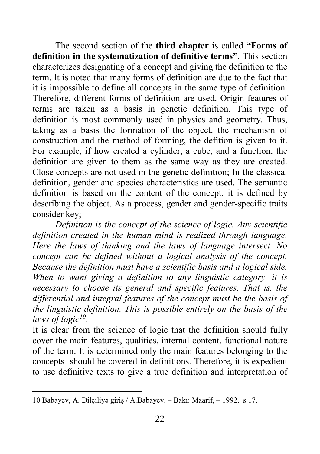The second section of the **third chapter** is called **"Forms of definition in the systematization of definitive terms"**. This section characterizes designating of a concept and giving the definition to the term. It is noted that many forms of definition are due to the fact that it is impossible to define all concepts in the same type of definition. Therefore, different forms of definition are used. Origin features of terms are taken as a basis in genetic definition. This type of definition is most commonly used in physics and geometry. Thus, taking as a basis the formation of the object, the mechanism of construction and the method of forming, the defition is given to it. For example, if how created a cylinder, a cube, and a function, the definition are given to them as the same way as they are created. Close concepts are not used in the genetic definition; In the classical definition, gender and species characteristics are used. The semantic definition is based on the content of the concept, it is defined by describing the object. As a process, gender and gender-specific traits consider key;

*Definition is the concept of the science of logic. Any scientific definition created in the human mind is realized through language. Here the laws of thinking and the laws of language intersect. No concept can be defined without a logical analysis of the concept. Because the definition must have a scientific basis and a logical side. When to want giving a definition to any linguistic category, it is necessary to choose its general and specific features. That is, the differential and integral features of the concept must be the basis of the linguistic definition. This is possible entirely on the basis of the laws of logic[10](#page-21-0)*.

It is clear from the science of logic that the definition should fully cover the main features, qualities, internal content, functional nature of the term. It is determined only the main features belonging to the concepts should be covered in definitions. Therefore, it is expedient to use definitive texts to give a true definition and interpretation of

<span id="page-21-0"></span><sup>10</sup> Babayev, A. Dilçiliyə giriş / A.Babayev. – Bakı: Maarif, – 1992. s.17.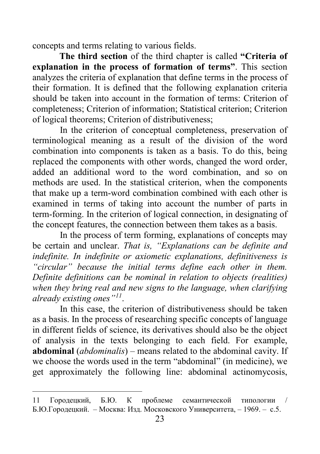concepts and terms relating to various fields.

**The third section** of the third chapter is called **"Criteria of explanation in the process of formation of terms"**. This section analyzes the criteria of explanation that define terms in the process of their formation. It is defined that the following explanation criteria should be taken into account in the formation of terms: Criterion of completeness; Criterion of information; Statistical criterion; Criterion of logical theorems; Criterion of distributiveness;

In the criterion of conceptual completeness, preservation of terminological meaning as a result of the division of the word combination into components is taken as a basis. To do this, being replaced the components with other words, changed the word order, added an additional word to the word combination, and so on methods are used. In the statistical criterion, when the components that make up a term-word combination combined with each other is examined in terms of taking into account the number of parts in term-forming. In the criterion of logical connection, in designating of the concept features, the connection between them takes as a basis.

In the process of term forming, explanations of concepts may be certain and unclear. *That is, "Explanations can be definite and indefinite. In indefinite or axiometic explanations, definitiveness is "circular" because the initial terms define each other in them. Definite definitions can be nominal in relation to objects (realities) when they bring real and new signs to the language, when clarifying already existing ones"[11](#page-22-0)*.

In this case, the criterion of distributiveness should be taken as a basis. In the process of researching specific concepts of language in different fields of science, its derivatives should also be the object of analysis in the texts belonging to each field. For example, **abdominal** (*abdominalis*) – means related to the abdominal cavity. If we choose the words used in the term "abdominal" (in medicine), we get approximately the following line: abdominal actinomycosis,

<span id="page-22-0"></span><sup>11</sup> Городецкий, Б.Ю. К проблеме семантической типологии / Б.Ю.Городецкий. – Москва: Изд. Московского Университета, – 1969. – с.5.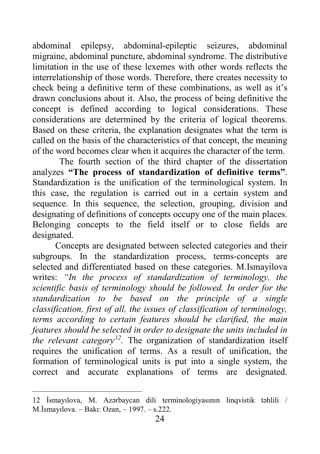abdominal epilepsy, abdominal-epileptic seizures, abdominal migraine, abdominal puncture, abdominal syndrome. The distributive limitation in the use of these lexemes with other words reflects the interrelationship of those words. Therefore, there creates necessity to check being a definitive term of these combinations, as well as it's drawn conclusions about it. Also, the process of being definitive the concept is defined according to logical considerations. These considerations are determined by the criteria of logical theorems. Based on these criteria, the explanation designates what the term is called on the basis of the characteristics of that concept, the meaning of the word becomes clear when it acquires the character of the term.

The fourth section of the third chapter of the dissertation analyzes **"The process of standardization of definitive terms"**. Standardization is the unification of the terminological system. In this case, the regulation is carried out in a certain system and sequence. In this sequence, the selection, grouping, division and designating of definitions of concepts occupy one of the main places. Belonging concepts to the field itself or to close fields are designated.

Concepts are designated between selected categories and their subgroups. In the standardization process, terms-concepts are selected and differentiated based on these categories. M.Ismayilova writes: *"In the process of standardization of terminology, the scientific basis of terminology should be followed. In order for the standardization to be based on the principle of a single classification, first of all, the issues of classification of terminology, terms according to certain features should be clarified, the main features should be selected in order to designate the units included in the relevant category[12](#page-23-0).* The organization of standardization itself requires the unification of terms. As a result of unification, the formation of terminological units is put into a single system, the correct and accurate explanations of terms are designated.

<span id="page-23-0"></span><sup>12</sup> İsmayılova, M. Azərbaycan dili terminologiyasının linqvistik təhlili / M.İsmayılova. – Bakı: Ozan, – 1997. – s.222.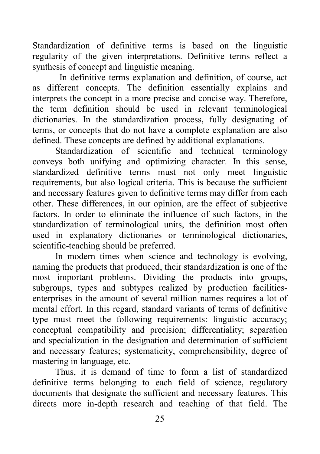Standardization of definitive terms is based on the linguistic regularity of the given interpretations. Definitive terms reflect a synthesis of concept and linguistic meaning.

In definitive terms explanation and definition, of course, act as different concepts. The definition essentially explains and interprets the concept in a more precise and concise way. Therefore, the term definition should be used in relevant terminological dictionaries. In the standardization process, fully designating of terms, or concepts that do not have a complete explanation are also defined. These concepts are defined by additional explanations.

Standardization of scientific and technical terminology conveys both unifying and optimizing character. In this sense, standardized definitive terms must not only meet linguistic requirements, but also logical criteria. This is because the sufficient and necessary features given to definitive terms may differ from each other. These differences, in our opinion, are the effect of subjective factors. In order to eliminate the influence of such factors, in the standardization of terminological units, the definition most often used in explanatory dictionaries or terminological dictionaries, scientific-teaching should be preferred.

In modern times when science and technology is evolving, naming the products that produced, their standardization is one of the most important problems. Dividing the products into groups, subgroups, types and subtypes realized by production facilitiesenterprises in the amount of several million names requires a lot of mental effort. In this regard, standard variants of terms of definitive type must meet the following requirements: linguistic accuracy; conceptual compatibility and precision; differentiality; separation and specialization in the designation and determination of sufficient and necessary features; systematicity, comprehensibility, degree of mastering in language, etc.

Thus, it is demand of time to form a list of standardized definitive terms belonging to each field of science, regulatory documents that designate the sufficient and necessary features. This directs more in-depth research and teaching of that field. The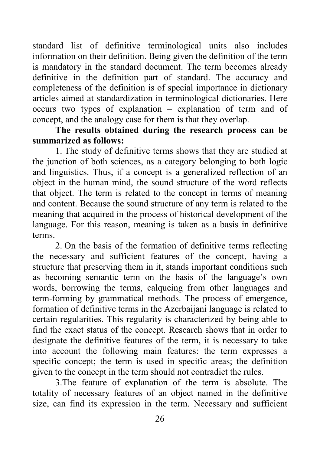standard list of definitive terminological units also includes information on their definition. Being given the definition of the term is mandatory in the standard document. The term becomes already definitive in the definition part of standard. The accuracy and completeness of the definition is of special importance in dictionary articles aimed at standardization in terminological dictionaries. Here occurs two types of explanation – explanation of term and of concept, and the analogy case for them is that they overlap.

**The results obtained during the research process can be summarized as follows:**

1. The study of definitive terms shows that they are studied at the junction of both sciences, as a category belonging to both logic and linguistics. Thus, if a concept is a generalized reflection of an object in the human mind, the sound structure of the word reflects that object. The term is related to the concept in terms of meaning and content. Because the sound structure of any term is related to the meaning that acquired in the process of historical development of the language. For this reason, meaning is taken as a basis in definitive terms.

2. On the basis of the formation of definitive terms reflecting the necessary and sufficient features of the concept, having a structure that preserving them in it, stands important conditions such as becoming semantic term on the basis of the language's own words, borrowing the terms, calqueing from other languages and term-forming by grammatical methods. The process of emergence, formation of definitive terms in the Azerbaijani language is related to certain regularities. This regularity is characterized by being able to find the exact status of the concept. Research shows that in order to designate the definitive features of the term, it is necessary to take into account the following main features: the term expresses a specific concept; the term is used in specific areas; the definition given to the concept in the term should not contradict the rules.

3.The feature of explanation of the term is absolute. The totality of necessary features of an object named in the definitive size, can find its expression in the term. Necessary and sufficient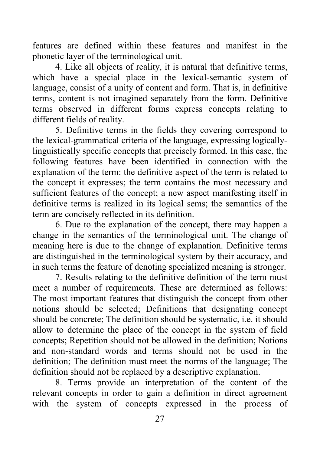features are defined within these features and manifest in the phonetic layer of the terminological unit.

4. Like all objects of reality, it is natural that definitive terms, which have a special place in the lexical-semantic system of language, consist of a unity of content and form. That is, in definitive terms, content is not imagined separately from the form. Definitive terms observed in different forms express concepts relating to different fields of reality.

5. Definitive terms in the fields they covering correspond to the lexical-grammatical criteria of the language, expressing logicallylinguistically specific concepts that precisely formed. In this case, the following features have been identified in connection with the explanation of the term: the definitive aspect of the term is related to the concept it expresses; the term contains the most necessary and sufficient features of the concept; a new aspect manifesting itself in definitive terms is realized in its logical sems; the semantics of the term are concisely reflected in its definition.

6. Due to the explanation of the concept, there may happen a change in the semantics of the terminological unit. The change of meaning here is due to the change of explanation. Definitive terms are distinguished in the terminological system by their accuracy, and in such terms the feature of denoting specialized meaning is stronger.

7. Results relating to the definitive definition of the term must meet a number of requirements. These are determined as follows: The most important features that distinguish the concept from other notions should be selected; Definitions that designating concept should be concrete; The definition should be systematic, i.e. it should allow to determine the place of the concept in the system of field concepts; Repetition should not be allowed in the definition; Notions and non-standard words and terms should not be used in the definition; The definition must meet the norms of the language; The definition should not be replaced by a descriptive explanation.

8. Terms provide an interpretation of the content of the relevant concepts in order to gain a definition in direct agreement with the system of concepts expressed in the process of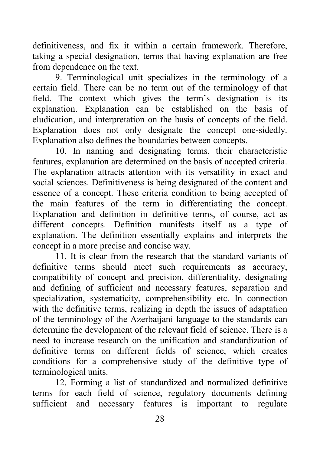definitiveness, and fix it within a certain framework. Therefore, taking a special designation, terms that having explanation are free from dependence on the text.

9. Terminological unit specializes in the terminology of a certain field. There can be no term out of the terminology of that field. The context which gives the term's designation is its explanation. Explanation can be established on the basis of eludication, and interpretation on the basis of concepts of the field. Explanation does not only designate the concept one-sidedly. Explanation also defines the boundaries between concepts.

10. In naming and designating terms, their characteristic features, explanation are determined on the basis of accepted criteria. The explanation attracts attention with its versatility in exact and social sciences. Definitiveness is being designated of the content and essence of a concept. These criteria condition to being accepted of the main features of the term in differentiating the concept. Explanation and definition in definitive terms, of course, act as different concepts. Definition manifests itself as a type of explanation. The definition essentially explains and interprets the concept in a more precise and concise way.

11. It is clear from the research that the standard variants of definitive terms should meet such requirements as accuracy, compatibility of concept and precision, differentiality, designating and defining of sufficient and necessary features, separation and specialization, systematicity, comprehensibility etc. In connection with the definitive terms, realizing in depth the issues of adaptation of the terminology of the Azerbaijani language to the standards can determine the development of the relevant field of science. There is a need to increase research on the unification and standardization of definitive terms on different fields of science, which creates conditions for a comprehensive study of the definitive type of terminological units.

12. Forming a list of standardized and normalized definitive terms for each field of science, regulatory documents defining sufficient and necessary features is important to regulate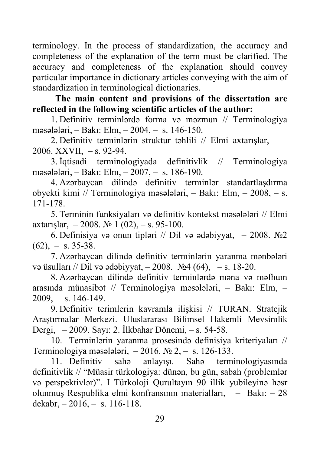terminology. In the process of standardization, the accuracy and completeness of the explanation of the term must be clarified. The accuracy and completeness of the explanation should convey particular importance in dictionary articles conveying with the aim of standardization in terminological dictionaries.

**The main content and provisions of the dissertation are reflected in the following scientific articles of the author:**

1. Definitiv terminlərdə forma və məzmun // Terminologiya məsələləri, – Bakı: Elm, – 2004, – s. 146-150.

2. Definitiv terminlərin struktur təhlili // Elmi axtarışlar, – 2006. XXVII, – s. 92-94.

3. İqtisadi terminologiyada definitivlik // Terminologiya məsələləri, – Bakı: Elm, – 2007, – s. 186-190.

4. Azərbaycan dilində definitiv terminlər standartlaşdırma obyekti kimi // Terminologiya məsələləri, – Bakı: Elm, – 2008, – s. 171-178.

5. Terminin funksiyaları və definitiv kontekst məsələləri // Elmi axtarışlar, – 2008. № 1 (02), – s. 95-100.

6. Definisiya və onun tipləri // Dil və ədəbiyyat, – 2008. №2  $(62)$ , – s. 35-38.

7. Azərbaycan dilində definitiv terminlərin yaranma mənbələri və üsulları // Dil və ədəbiyyat,  $-2008$ .  $\mathbb{N} \times 4$  (64),  $-$  s. 18-20.

8. Azərbaycan dilində definitiv terminlərdə məna və məfhum arasında münasibət // Terminologiya məsələləri, – Bakı: Elm, – 2009, – s. 146-149.

9. Definitiv terimlerin kavramla ilişkisi // TURAN. Stratejik Araştırmalar Merkezi. Uluslararası Bilimsel Hakemli Mevsimlik Dergi, – 2009. Sayı: 2. İlkbahar Dönemi, – s. 54-58.

10. Terminlərin yaranma prosesində definisiya kriteriyaları // Terminologiya məsələləri, – 2016. № 2, – s. 126-133.

11. Definitiv sahə anlayışı. Sahə terminologiyasında definitivlik // "Müasir türkologiya: dünən, bu gün, sabah (problemlər və perspektivlər)". I Türkoloji Qurultayın 90 illik yubileyinə həsr olunmuş Respublika elmi konfransının materialları, – Bakı: – 28 dekabr,  $-2016$ ,  $- s. 116-118$ .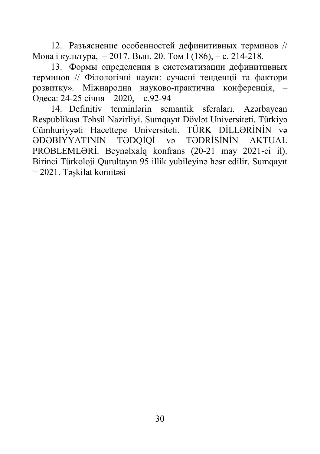12. Разъяснение особенностей дефинитивных терминов // Мова i культурa, – 2017. Вып. 20. Том I (186), – с. 214-218.

13. Формы определения в систематизации дефинитивных терминов // Фiлологiчнi науки: сучаснi тенденцii та фактори розвитку». Мiжнародна науково-практична конференцiя, – Одеса: 24-25 сiчня – 2020, – с.92-94

14. Definitiv terminlərin semantik sferaları. Azərbaycan Respublikası Təhsil Nazirliyi. Sumqayıt Dövlət Universiteti. Türkiyə Cümhuriyyəti Hacettepe Universiteti. TÜRK DİLLƏRİNİN və ƏDƏBİYYATININ TƏDQİQİ və TƏDRİSİNİN AKTUAL PROBLEMLƏRİ. Beynəlxalq konfrans (20-21 may 2021-ci il). Birinci Türkoloji Qurultayın 95 illik yubileyinə həsr edilir. Sumqayıt − 2021. Təşkilat komitəsi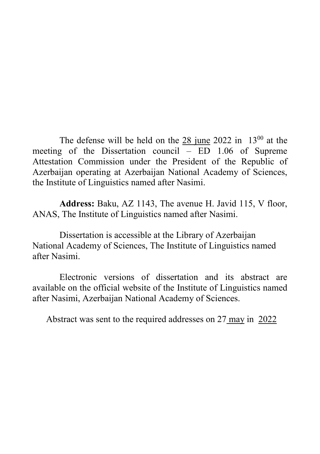The defense will be held on the  $28$  june  $2022$  in  $13^{00}$  at the meeting of the Dissertation council – ED 1.06 of Supreme Attestation Commission under the President of the Republic of Azerbaijan operating at Azerbaijan National Academy of Sciences, the Institute of Linguistics named after Nasimi.

**Address:** Baku, AZ 1143, The avenue H. Javid 115, V floor, ANAS, The Institute of Linguistics named after Nasimi.

Dissertation is accessible at the Library of Azerbaijan National Academy of Sciences, The Institute of Linguistics named after Nasimi.

Electronic versions of dissertation and its abstract are available on the official website of the Institute of Linguistics named after Nasimi, Azerbaijan National Academy of Sciences.

Abstract was sent to the required addresses on 27 may in 2022

31